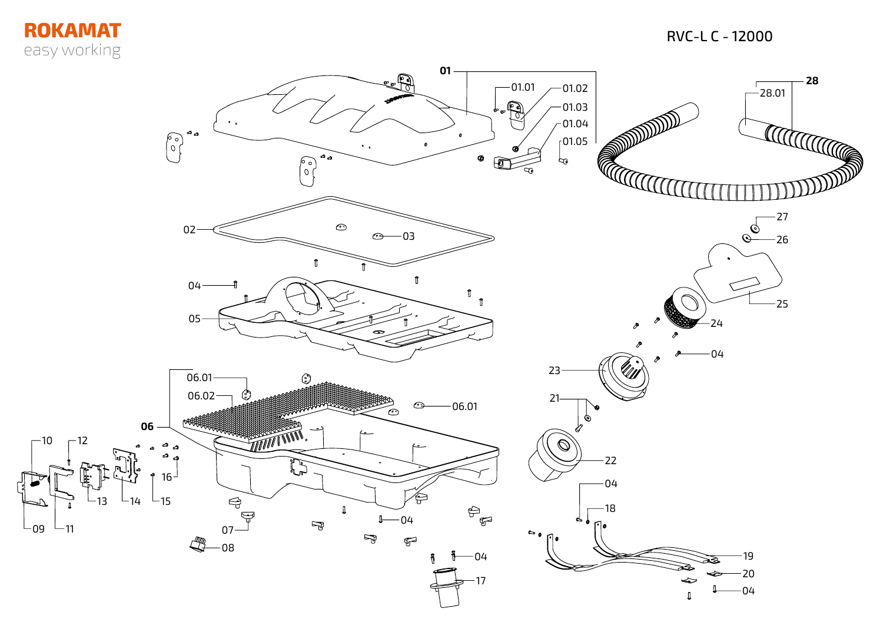## **ROKAMAT** easy working

 $L_{09}$ 

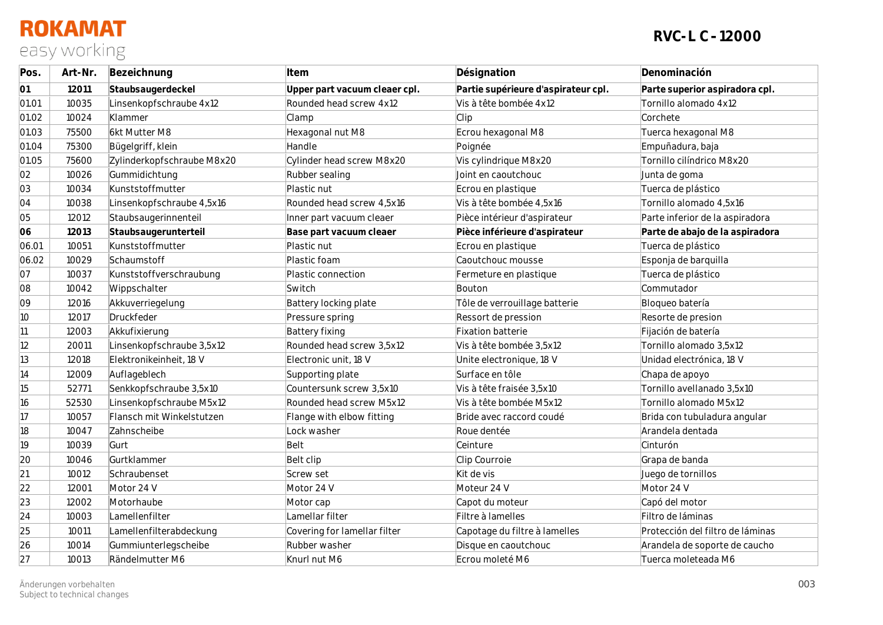## **ROKAMAT** easy working

| Pos.         | Art-Nr. | Bezeichnung                | Item                          | Désignation                         | Denominación                     |
|--------------|---------|----------------------------|-------------------------------|-------------------------------------|----------------------------------|
| 01           | 12011   | Staubsaugerdeckel          | Upper part vacuum cleaer cpl. | Partie supérieure d'aspirateur cpl. | Parte superior aspiradora cpl.   |
| 01.01        | 10035   | Linsenkopfschraube 4x12    | Rounded head screw 4x12       | Vis à tête bombée 4x12              | Tornillo alomado 4x12            |
| 01.02        | 10024   | Klammer                    | Clamp                         | Clip                                | Corchete                         |
| 01.03        | 75500   | 6kt Mutter M8              | Hexagonal nut M8              | Ecrou hexagonal M8                  | Tuerca hexagonal M8              |
| 01.04        | 75300   | Bügelgriff, klein          | Handle                        | Poignée                             | Empuñadura, baja                 |
| 01.05        | 75600   | Zylinderkopfschraube M8x20 | Cylinder head screw M8x20     | Vis cylindrique M8x20               | Tornillo cilíndrico M8x20        |
| 02           | 10026   | Gummidichtung              | Rubber sealing                | Joint en caoutchouc                 | Junta de goma                    |
| 03           | 10034   | Kunststoffmutter           | Plastic nut                   | Ecrou en plastique                  | Tuerca de plástico               |
| 04           | 10038   | Linsenkopfschraube 4,5x16  | Rounded head screw 4,5x16     | Vis à tête bombée 4,5x16            | Tornillo alomado 4,5x16          |
| 05           | 12012   | Staubsaugerinnenteil       | Inner part vacuum cleaer      | Pièce intérieur d'aspirateur        | Parte inferior de la aspiradora  |
| 06           | 12013   | Staubsaugerunterteil       | Base part vacuum cleaer       | Pièce inférieure d'aspirateur       | Parte de abajo de la aspiradora  |
| 06.01        | 10051   | Kunststoffmutter           | Plastic nut                   | Ecrou en plastique                  | Tuerca de plástico               |
| 06.02        | 10029   | Schaumstoff                | Plastic foam                  | Caoutchouc mousse                   | Esponja de barquilla             |
| 07           | 10037   | Kunststoffverschraubung    | Plastic connection            | Fermeture en plastique              | Tuerca de plástico               |
| 08           | 10042   | Wippschalter               | Switch                        | Bouton                              | Commutador                       |
| 09           | 12016   | Akkuverriegelung           | Battery locking plate         | Tôle de verrouillage batterie       | Bloqueo batería                  |
| 10           | 12017   | Druckfeder                 | Pressure spring               | Ressort de pression                 | Resorte de presion               |
| 11           | 12003   | Akkufixierung              | <b>Battery fixing</b>         | Fixation batterie                   | Fijación de batería              |
| 12           | 20011   | Linsenkopfschraube 3,5x12  | Rounded head screw 3,5x12     | Vis à tête bombée 3,5x12            | Tornillo alomado 3,5x12          |
| $ 13\rangle$ | 12018   | Elektronikeinheit, 18 V    | Electronic unit, 18 V         | Unite electronique, 18 V            | Unidad electrónica, 18 V         |
| 14           | 12009   | Auflageblech               | Supporting plate              | Surface en tôle                     | Chapa de apoyo                   |
| 15           | 52771   | Senkkopfschraube 3,5x10    | Countersunk screw 3,5x10      | Vis à tête fraisée 3,5x10           | Tornillo avellanado 3,5x10       |
| 16           | 52530   | Linsenkopfschraube M5x12   | Rounded head screw M5x12      | Vis à tête bombée M5x12             | Tornillo alomado M5x12           |
| 17           | 10057   | Flansch mit Winkelstutzen  | Flange with elbow fitting     | Bride avec raccord coudé            | Brida con tubuladura angular     |
| 18           | 10047   | Zahnscheibe                | Lock washer                   | Roue dentée                         | Arandela dentada                 |
| 19           | 10039   | Gurt                       | Belt                          | Ceinture                            | Cinturón                         |
| 20           | 10046   | Gurtklammer                | Belt clip                     | Clip Courroie                       | Grapa de banda                   |
| 21           | 10012   | Schraubenset               | Screw set                     | Kit de vis                          | Juego de tornillos               |
| 22           | 12001   | Motor 24 V                 | Motor 24 V                    | Moteur 24 V                         | Motor 24 V                       |
| 23           | 12002   | Motorhaube                 | Motor cap                     | Capot du moteur                     | Capó del motor                   |
| 24           | 10003   | Lamellenfilter             | Lamellar filter               | Filtre à lamelles                   | Filtro de láminas                |
| 25           | 10011   | Lamellenfilterabdeckung    | Covering for lamellar filter  | Capotage du filtre à lamelles       | Protección del filtro de láminas |
| 26           | 10014   | Gummiunterlegscheibe       | Rubber washer                 | Disque en caoutchouc                | Arandela de soporte de caucho    |
| 27           | 10013   | Rändelmutter M6            | Knurl nut M6                  | Ecrou moleté M6                     | Tuerca moleteada M6              |